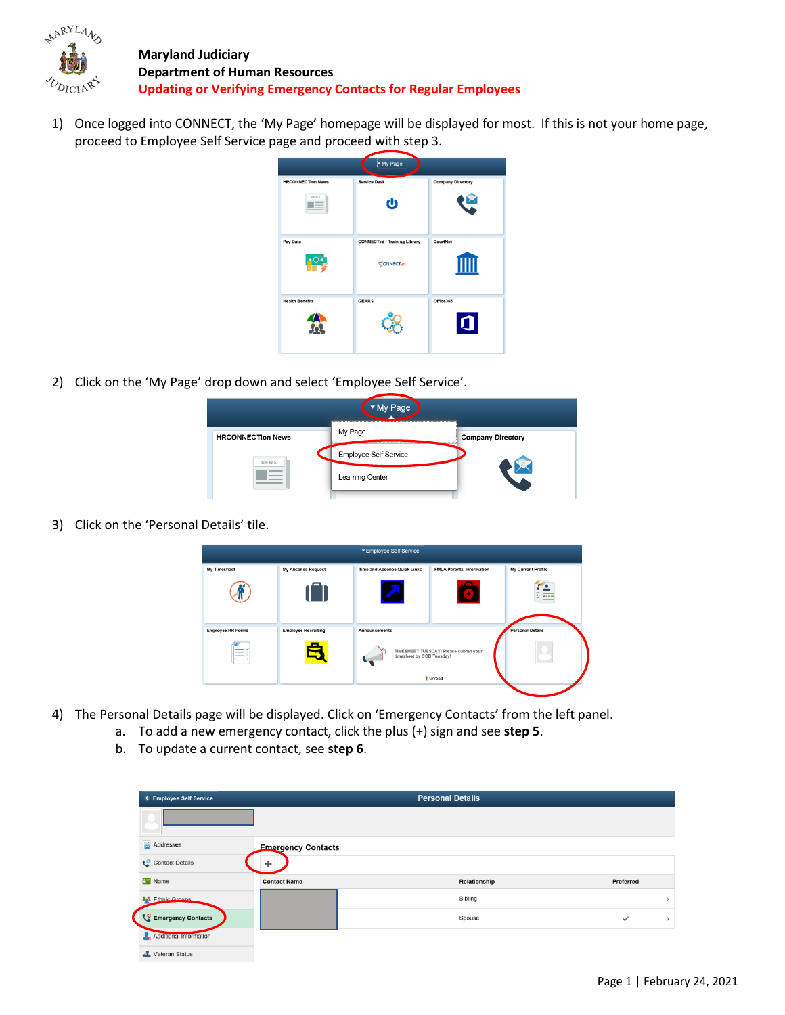

**Maryland Judiciary Department of Human Resources Updating or Verifying Emergency Contacts for Regular Employees**

1) Once logged into CONNECT, the 'My Page' homepage will be displayed for most. If this is not your home page, proceed to Employee Self Service page and proceed with step 3.



2) Click on the 'My Page' drop down and select 'Employee Self Service'.

|                          | Page                  |                              |
|--------------------------|-----------------------|------------------------------|
| <b>HRCONNECTion News</b> | My Page<br>-------    | <b>Company Directory</b><br> |
| NEWS                     | Employee Self Service |                              |
|                          | Learning Center       |                              |
|                          |                       |                              |

3) Click on the 'Personal Details' tile.



- 4) The Personal Details page will be displayed. Click on 'Emergency Contacts' from the left panel.
	- a. To add a new emergency contact, click the plus (+) sign and see **step 5**.
	- b. To update a current contact, see **step 6**.

| < Employee Self Service        |                           | <b>Personal Details</b> |              |
|--------------------------------|---------------------------|-------------------------|--------------|
|                                |                           |                         |              |
| $\frac{1}{\sqrt{2}}$ Addresses | <b>Emergency Contacts</b> |                         |              |
| Contact Details                |                           |                         |              |
| <b>B</b> Name                  | <b>Contact Name</b>       | Relationship            | Preferred    |
| <b>20% Ethnic Groups</b>       |                           | Sibling                 |              |
| Emergency Contacts             |                           | Spouse                  | $\checkmark$ |
| Additional Information         |                           |                         |              |
| Veteran Status                 |                           |                         |              |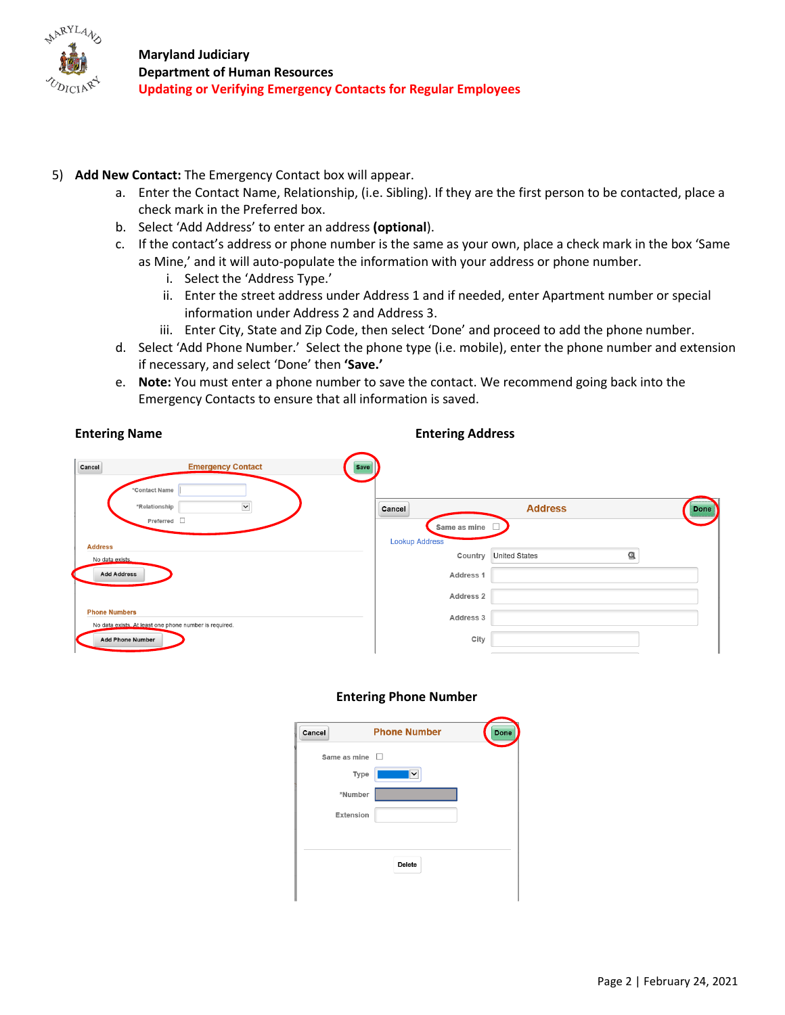

# 5) **Add New Contact:** The Emergency Contact box will appear.

- a. Enter the Contact Name, Relationship, (i.e. Sibling). If they are the first person to be contacted, place a check mark in the Preferred box.
- b. Select 'Add Address' to enter an address **(optional**).
- c. If the contact's address or phone number is the same as your own, place a check mark in the box 'Same as Mine,' and it will auto-populate the information with your address or phone number.
	- i. Select the 'Address Type.'
	- ii. Enter the street address under Address 1 and if needed, enter Apartment number or special information under Address 2 and Address 3.
	- iii. Enter City, State and Zip Code, then select 'Done' and proceed to add the phone number.
- d. Select 'Add Phone Number.' Select the phone type (i.e. mobile), enter the phone number and extension if necessary, and select 'Done' then **'Save.'**
- e. **Note:** You must enter a phone number to save the contact. We recommend going back into the Emergency Contacts to ensure that all information is saved.

#### **Entering Name Entering Address**

| Cancel<br><b>Emergency Contact</b>                                             | <b>Save</b>                                                            |
|--------------------------------------------------------------------------------|------------------------------------------------------------------------|
| *Contact Name<br>$\check{~}$<br>*Relationship                                  | <b>Address</b><br>Cancel                                               |
| Preferred $\Box$                                                               | Same as mine                                                           |
| <b>Address</b>                                                                 | <b>Lookup Address</b><br>$^{\circ}$<br><b>United States</b><br>Country |
| No data exists.<br><b>Add Address</b>                                          | Address 1                                                              |
|                                                                                | Address 2                                                              |
| <b>Phone Numbers</b><br>No data exists. At least one phone number is required. | Address 3                                                              |
| <b>Add Phone Number</b>                                                        | City                                                                   |

#### **Entering Phone Number**

| Cancel              | <b>Phone Number</b> | Done |
|---------------------|---------------------|------|
| Same as mine $\Box$ |                     |      |
| Type                | $\checkmark$        |      |
| *Number             |                     |      |
| <b>Extension</b>    |                     |      |
|                     |                     |      |
|                     | Delete              |      |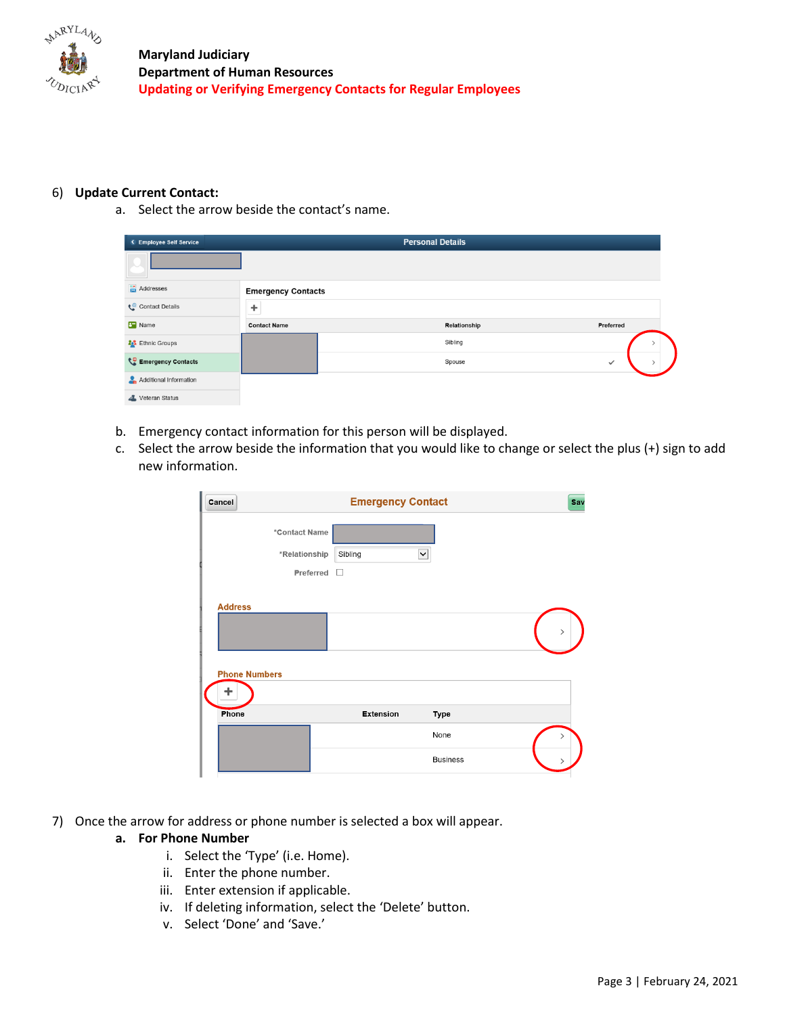

### 6) **Update Current Contact:**

a. Select the arrow beside the contact's name.

| < Employee Self Service        |                           | <b>Personal Details</b> |              |
|--------------------------------|---------------------------|-------------------------|--------------|
|                                |                           |                         |              |
| $\frac{1}{\sqrt{2}}$ Addresses | <b>Emergency Contacts</b> |                         |              |
| Contact Details                | ٠                         |                         |              |
| <b>B</b> Name                  | <b>Contact Name</b>       | Relationship            | Preferred    |
| <b>2.3</b> Ethnic Groups       |                           | Sibling                 |              |
| Emergency Contacts             |                           | Spouse                  | $\checkmark$ |
| Additional Information         |                           |                         |              |
| Veteran Status                 |                           |                         |              |

- b. Emergency contact information for this person will be displayed.
- c. Select the arrow beside the information that you would like to change or select the plus (+) sign to add new information.

| Cancel                         | <b>Emergency Contact</b>       |                 | Sav |
|--------------------------------|--------------------------------|-----------------|-----|
| *Contact Name<br>*Relationship | Sibling<br>Preferred<br>$\Box$ | ◡               |     |
| <b>Address</b>                 |                                |                 |     |
| <b>Phone Numbers</b>           |                                |                 |     |
| Phone                          | <b>Extension</b>               | Type<br>None    |     |
|                                |                                | <b>Business</b> |     |

7) Once the arrow for address or phone number is selected a box will appear.

#### **a. For Phone Number**

- i. Select the 'Type' (i.e. Home).
- ii. Enter the phone number.
- iii. Enter extension if applicable.
- iv. If deleting information, select the 'Delete' button.
- v. Select 'Done' and 'Save.'